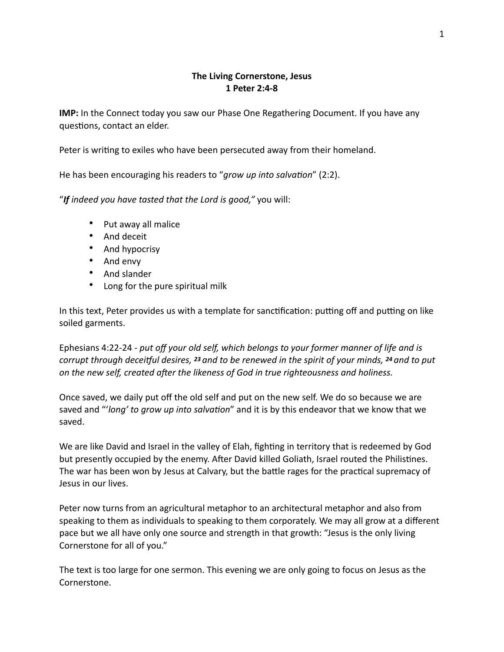## **The Living Cornerstone, Jesus 1 Peter 2:4-8**

**IMP:** In the Connect today you saw our Phase One Regathering Document. If you have any questions, contact an elder.

Peter is writing to exiles who have been persecuted away from their homeland.

He has been encouraging his readers to "*grow up into salvation*" (2:2).

"*If indeed you have tasted that the Lord is good,"* you will:

- Put away all malice
- And deceit
- And hypocrisy
- And envy
- And slander
- Long for the pure spiritual milk

In this text, Peter provides us with a template for sanctification: putting off and putting on like soiled garments.

Ephesians 4:22-24 - *put off your old self, which belongs to your former manner of life and is corrupt through deceitful desires, <sup>23</sup> and to be renewed in the spirit of your minds, <sup>24</sup> and to put on the new self, created after the likeness of God in true righteousness and holiness.* 

Once saved, we daily put off the old self and put on the new self. We do so because we are saved and "'*long' to grow up into salvation*" and it is by this endeavor that we know that we saved.

We are like David and Israel in the valley of Elah, fighting in territory that is redeemed by God but presently occupied by the enemy. After David killed Goliath, Israel routed the Philistines. The war has been won by Jesus at Calvary, but the battle rages for the practical supremacy of Jesus in our lives.

Peter now turns from an agricultural metaphor to an architectural metaphor and also from speaking to them as individuals to speaking to them corporately. We may all grow at a different pace but we all have only one source and strength in that growth: "Jesus is the only living Cornerstone for all of you."

The text is too large for one sermon. This evening we are only going to focus on Jesus as the Cornerstone.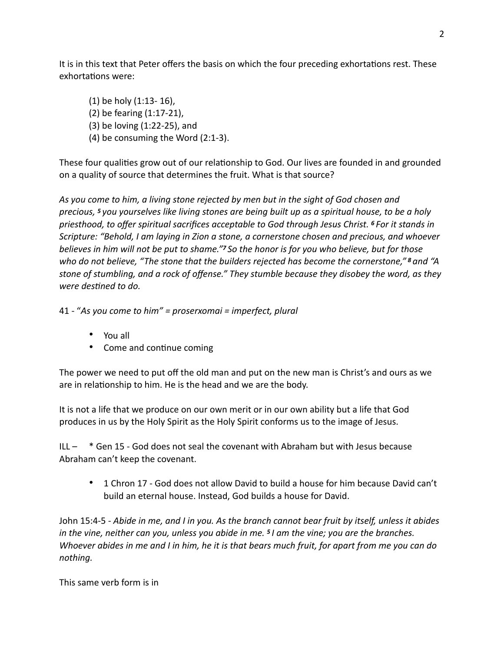It is in this text that Peter offers the basis on which the four preceding exhortations rest. These exhortations were:

(1) be holy (1:13- 16), (2) be fearing (1:17-21), (3) be loving (1:22-25), and (4) be consuming the Word (2:1-3).

These four qualities grow out of our relationship to God. Our lives are founded in and grounded on a quality of source that determines the fruit. What is that source?

*As you come to him, a living stone rejected by men but in the sight of God chosen and precious, 5 you yourselves like living stones are being built up as a spiritual house, to be a holy priesthood, to offer spiritual sacrifices acceptable to God through Jesus Christ. 6 For it stands in Scripture: "Behold, I am laying in Zion a stone, a cornerstone chosen and precious, and whoever believes in him will not be put to shame."7 So the honor is for you who believe, but for those who do not believe, "The stone that the builders rejected has become the cornerstone," 8 and "A stone of stumbling, and a rock of offense." They stumble because they disobey the word, as they*  were destined to do.

41 - "*As you come to him" = proserxomai = imperfect, plural* 

- You all
- Come and continue coming

The power we need to put off the old man and put on the new man is Christ's and ours as we are in relationship to him. He is the head and we are the body.

It is not a life that we produce on our own merit or in our own ability but a life that God produces in us by the Holy Spirit as the Holy Spirit conforms us to the image of Jesus.

ILL – \* Gen 15 - God does not seal the covenant with Abraham but with Jesus because Abraham can't keep the covenant.

• 1 Chron 17 - God does not allow David to build a house for him because David can't build an eternal house. Instead, God builds a house for David.

John 15:4-5 - *Abide in me, and I in you. As the branch cannot bear fruit by itself, unless it abides in the vine, neither can you, unless you abide in me. 5 I am the vine; you are the branches. Whoever abides in me and I in him, he it is that bears much fruit, for apart from me you can do nothing.*

This same verb form is in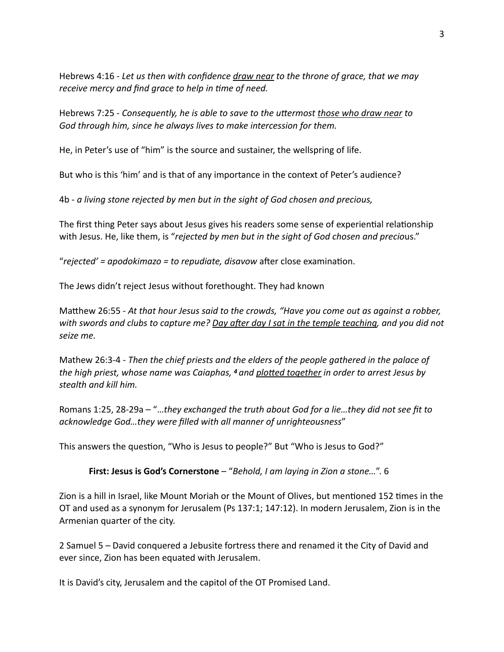Hebrews 4:16 - *Let us then with confidence draw near to the throne of grace, that we may receive mercy and find grace to help in time of need.* 

Hebrews 7:25 - *Consequently, he is able to save to the uttermost those who draw near to God through him, since he always lives to make intercession for them.*

He, in Peter's use of "him" is the source and sustainer, the wellspring of life.

But who is this 'him' and is that of any importance in the context of Peter's audience?

4b - *a living stone rejected by men but in the sight of God chosen and precious,* 

The first thing Peter says about Jesus gives his readers some sense of experiential relationship with Jesus. He, like them, is "*rejected by men but in the sight of God chosen and precio*us."

"*rejected' = apodokimazo = to repudiate, disavow* after close examination.

The Jews didn't reject Jesus without forethought. They had known

Matthew 26:55 - *At that hour Jesus said to the crowds, "Have you come out as against a robber,* with swords and clubs to capture me? Day after day I sat in the temple teaching, and you did not *seize me.* 

Mathew 26:3-4 - *Then the chief priests and the elders of the people gathered in the palace of the high priest, whose name was Caiaphas, <sup>4</sup> and plotted together in order to arrest Jesus by stealth and kill him.* 

Romans 1:25, 28-29a – "…*they exchanged the truth about God for a lie…they did not see fit to acknowledge God…they were filled with all manner of unrighteousness*"

This answers the question, "Who is Jesus to people?" But "Who is Jesus to God?"

**First: Jesus is God's Cornerstone** – "*Behold, I am laying in Zion a stone…*". 6

Zion is a hill in Israel, like Mount Moriah or the Mount of Olives, but mentioned 152 times in the OT and used as a synonym for Jerusalem (Ps 137:1; 147:12). In modern Jerusalem, Zion is in the Armenian quarter of the city.

2 Samuel 5 – David conquered a Jebusite fortress there and renamed it the City of David and ever since, Zion has been equated with Jerusalem.

It is David's city, Jerusalem and the capitol of the OT Promised Land.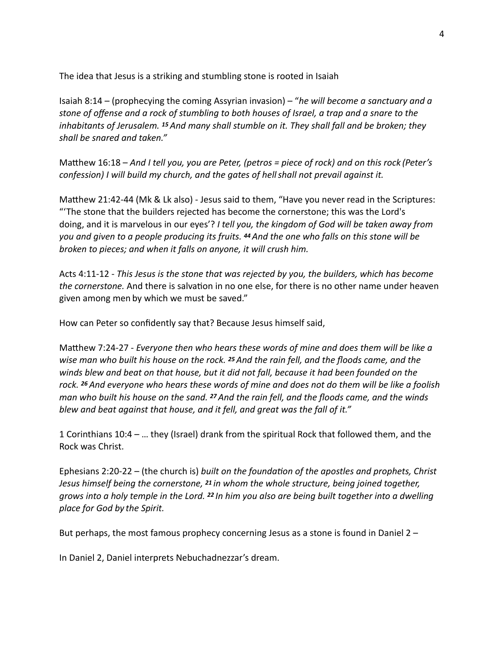The idea that Jesus is a striking and stumbling stone is rooted in Isaiah

Isaiah 8:14 – (prophecying the coming Assyrian invasion) – "*he will become a sanctuary and a stone of offense and a rock of stumbling to both houses of Israel, a trap and a snare to the inhabitants of Jerusalem. 15 And many shall stumble on it. They shall fall and be broken; they shall be snared and taken."*

Matthew 16:18 – And I tell you, you are Peter, (petros = piece of rock) and on this rock (Peter's *confession) I will build my church, and the gates of hellshall not prevail against it.* 

Matthew 21:42-44 (Mk & Lk also) - Jesus said to them, "Have you never read in the Scriptures: "'The stone that the builders rejected has become the cornerstone; this was the Lord's doing, and it is marvelous in our eyes'? *I tell you, the kingdom of God will be taken away from you and given to a people producing its fruits. 44 And the one who falls on this stone will be broken to pieces; and when it falls on anyone, it will crush him.*

Acts 4:11-12 - *This Jesus is the stone that was rejected by you, the builders, which has become the cornerstone.* And there is salvation in no one else, for there is no other name under heaven given among men by which we must be saved."

How can Peter so confidently say that? Because Jesus himself said,

Matthew 7:24-27 - *Everyone then who hears these words of mine and does them will be like a wise man who built his house on the rock. 25 And the rain fell, and the floods came, and the winds blew and beat on that house, but it did not fall, because it had been founded on the rock. 26 And everyone who hears these words of mine and does not do them will be like a foolish man who built his house on the sand. 27 And the rain fell, and the floods came, and the winds blew and beat against that house, and it fell, and great was the fall of it."* 

1 Corinthians 10:4 – … they (Israel) drank from the spiritual Rock that followed them, and the Rock was Christ.

Ephesians 2:20-22 – (the church is) *built on the foundation of the apostles and prophets, Christ Jesus himself being the cornerstone, 21 in whom the whole structure, being joined together, grows into a holy temple in the Lord. 22 In him you also are being built together into a dwelling place for God by the Spirit.*

But perhaps, the most famous prophecy concerning Jesus as a stone is found in Daniel  $2 -$ 

In Daniel 2, Daniel interprets Nebuchadnezzar's dream.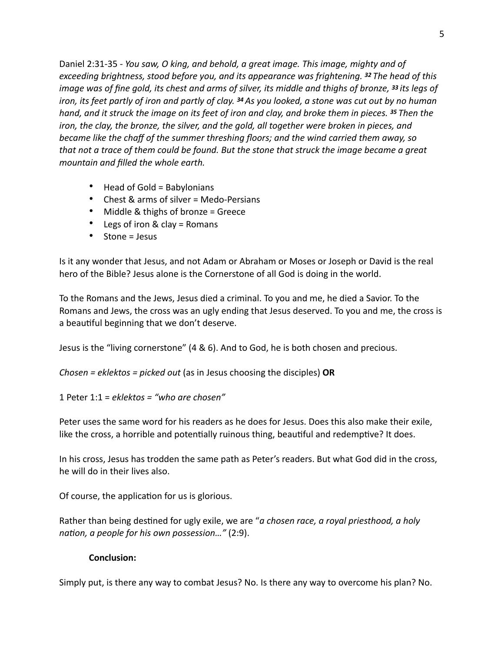Daniel 2:31-35 - *You saw, O king, and behold, a great image. This image, mighty and of exceeding brightness, stood before you, and its appearance was frightening. 32 The head of this image was of fine gold, its chest and arms of silver, its middle and thighs of bronze, 33 its legs of iron, its feet partly of iron and partly of clay. 34 As you looked, a stone was cut out by no human hand, and it struck the image on its feet of iron and clay, and broke them in pieces. 35 Then the iron, the clay, the bronze, the silver, and the gold, all together were broken in pieces, and became like the chaff of the summer threshing floors; and the wind carried them away, so that not a trace of them could be found. But the stone that struck the image became a great mountain and filled the whole earth.* 

- Head of Gold = Babylonians
- Chest & arms of silver = Medo-Persians
- Middle & thighs of bronze = Greece
- Legs of iron & clay = Romans
- Stone = Jesus

Is it any wonder that Jesus, and not Adam or Abraham or Moses or Joseph or David is the real hero of the Bible? Jesus alone is the Cornerstone of all God is doing in the world.

To the Romans and the Jews, Jesus died a criminal. To you and me, he died a Savior. To the Romans and Jews, the cross was an ugly ending that Jesus deserved. To you and me, the cross is a beautiful beginning that we don't deserve.

Jesus is the "living cornerstone" (4 & 6). And to God, he is both chosen and precious.

*Chosen = eklektos = picked out* (as in Jesus choosing the disciples) **OR** 

1 Peter 1:1 = *eklektos = "who are chosen"*

Peter uses the same word for his readers as he does for Jesus. Does this also make their exile, like the cross, a horrible and potentially ruinous thing, beautiful and redemptive? It does.

In his cross, Jesus has trodden the same path as Peter's readers. But what God did in the cross, he will do in their lives also.

Of course, the application for us is glorious.

Rather than being destined for ugly exile, we are "*a chosen race, a royal priesthood, a holy nation, a people for his own possession..."* (2:9).

## **Conclusion:**

Simply put, is there any way to combat Jesus? No. Is there any way to overcome his plan? No.